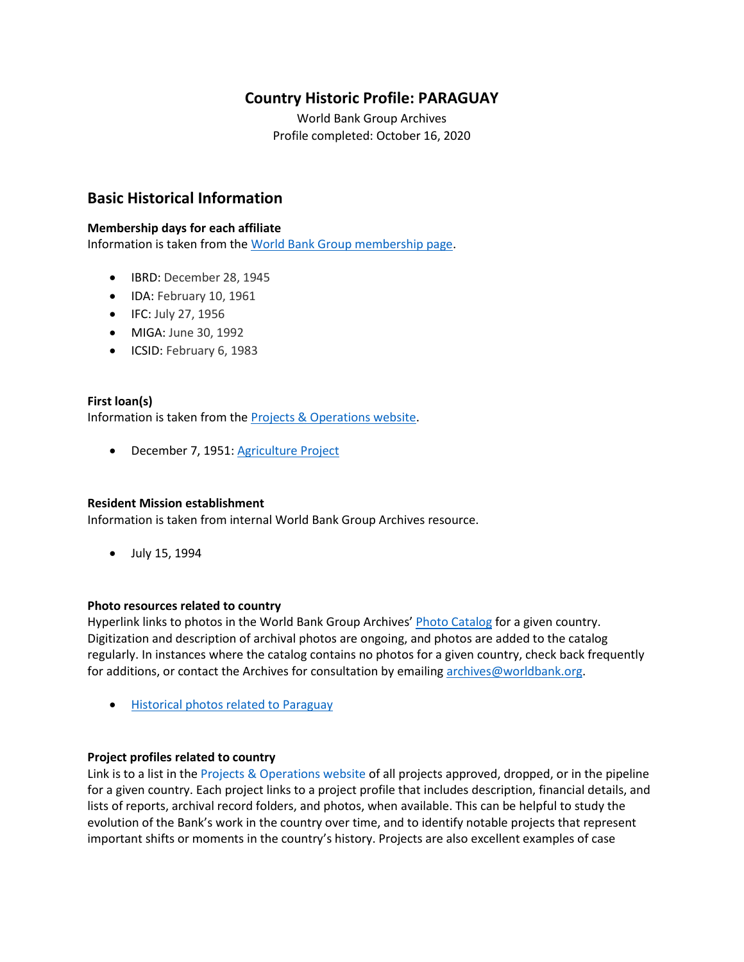# **Country Historic Profile: PARAGUAY**

World Bank Group Archives Profile completed: October 16, 2020

# **Basic Historical Information**

## **Membership days for each affiliate**

Information is taken from the [World Bank Group membership page.](https://www.worldbank.org/en/about/leadership/members#1)

- IBRD: December 28, 1945
- IDA: February 10, 1961
- IFC: July 27, 1956
- MIGA: June 30, 1992
- ICSID: February 6, 1983

## **First loan(s)**

Information is taken from the [Projects & Operations website.](https://projects.worldbank.org/)

• December 7, 1951: [Agriculture Project](https://projects.worldbank.org/en/projects-operations/project-detail/P007848)

### **Resident Mission establishment**

Information is taken from internal World Bank Group Archives resource.

• July 15, 1994

### **Photo resources related to country**

Hyperlink links to photos in the World Bank Group Archives' [Photo Catalog](https://archivesphotos.worldbank.org/en/about/archives/photo-gallery) for a given country. Digitization and description of archival photos are ongoing, and photos are added to the catalog regularly. In instances where the catalog contains no photos for a given country, check back frequently for additions, or contact the Archives for consultation by emailing [archives@worldbank.org.](mailto:archives@worldbank.org)

• [Historical photos related to Paraguay](https://archivesphotos.worldbank.org/en/about/archives/photo-gallery/photo-gallery-landing?qterm=paraguay&x=0&y=0)

## **Project profiles related to country**

Link is to a list in the [Projects & Operations website](https://projects.worldbank.org/) of all projects approved, dropped, or in the pipeline for a given country. Each project links to a project profile that includes description, financial details, and lists of reports, archival record folders, and photos, when available. This can be helpful to study the evolution of the Bank's work in the country over time, and to identify notable projects that represent important shifts or moments in the country's history. Projects are also excellent examples of case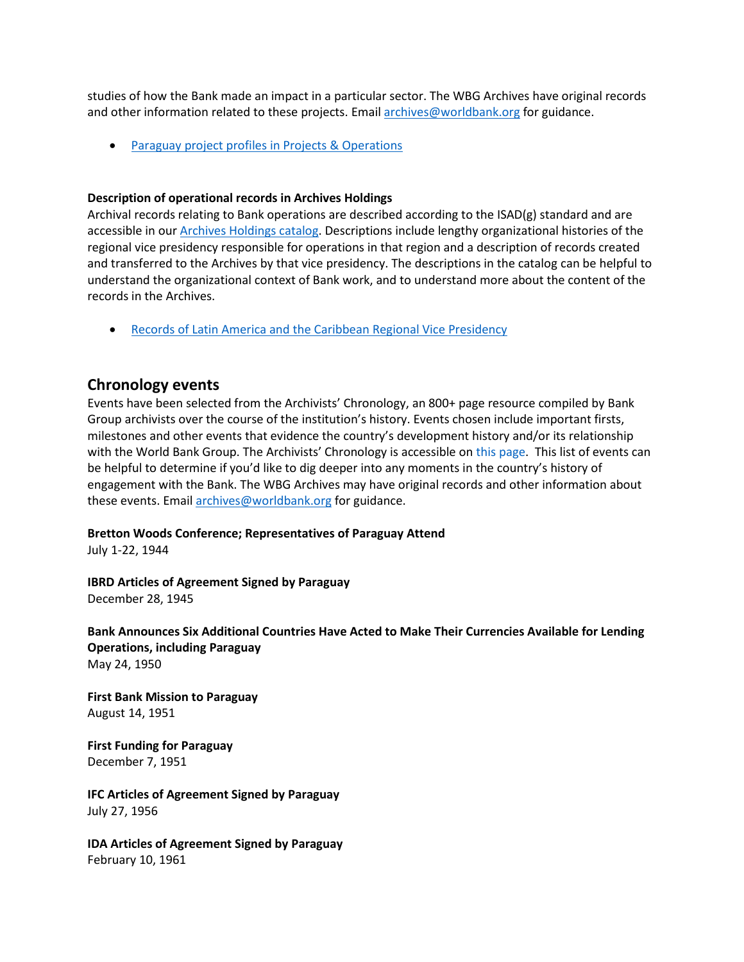studies of how the Bank made an impact in a particular sector. The WBG Archives have original records and other information related to these projects. Email [archives@worldbank.org](mailto:archives@worldbank.org) for guidance.

• Paraguay [project profiles in Projects & Operations](https://projects.worldbank.org/en/projects-operations/projects-list?searchTerm=Paraguay)

## **Description of operational records in Archives Holdings**

Archival records relating to Bank operations are described according to the ISAD(g) standard and are accessible in our [Archives Holdings catalog.](https://archivesholdings.worldbank.org/) Descriptions include lengthy organizational histories of the regional vice presidency responsible for operations in that region and a description of records created and transferred to the Archives by that vice presidency. The descriptions in the catalog can be helpful to understand the organizational context of Bank work, and to understand more about the content of the records in the Archives.

• [Records of Latin America and the Caribbean Regional Vice Presidency](https://archivesholdings.worldbank.org/records-of-latin-america-and-caribbean-regional-vice-presidency)

## **Chronology events**

Events have been selected from the Archivists' Chronology, an 800+ page resource compiled by Bank Group archivists over the course of the institution's history. Events chosen include important firsts, milestones and other events that evidence the country's development history and/or its relationship with the World Bank Group. The Archivists' Chronology is accessible on [this page.](https://www.worldbank.org/en/about/archives/history/timeline) This list of events can be helpful to determine if you'd like to dig deeper into any moments in the country's history of engagement with the Bank. The WBG Archives may have original records and other information about these events. Email [archives@worldbank.org](mailto:archives@worldbank.org) for guidance.

### **Bretton Woods Conference; Representatives of Paraguay Attend**

July 1-22, 1944

**IBRD Articles of Agreement Signed by Paraguay** December 28, 1945

**Bank Announces Six Additional Countries Have Acted to Make Their Currencies Available for Lending Operations, including Paraguay** May 24, 1950

**First Bank Mission to Paraguay**  August 14, 1951

**First Funding for Paraguay**  December 7, 1951

**IFC Articles of Agreement Signed by Paraguay** July 27, 1956

**IDA Articles of Agreement Signed by Paraguay**  February 10, 1961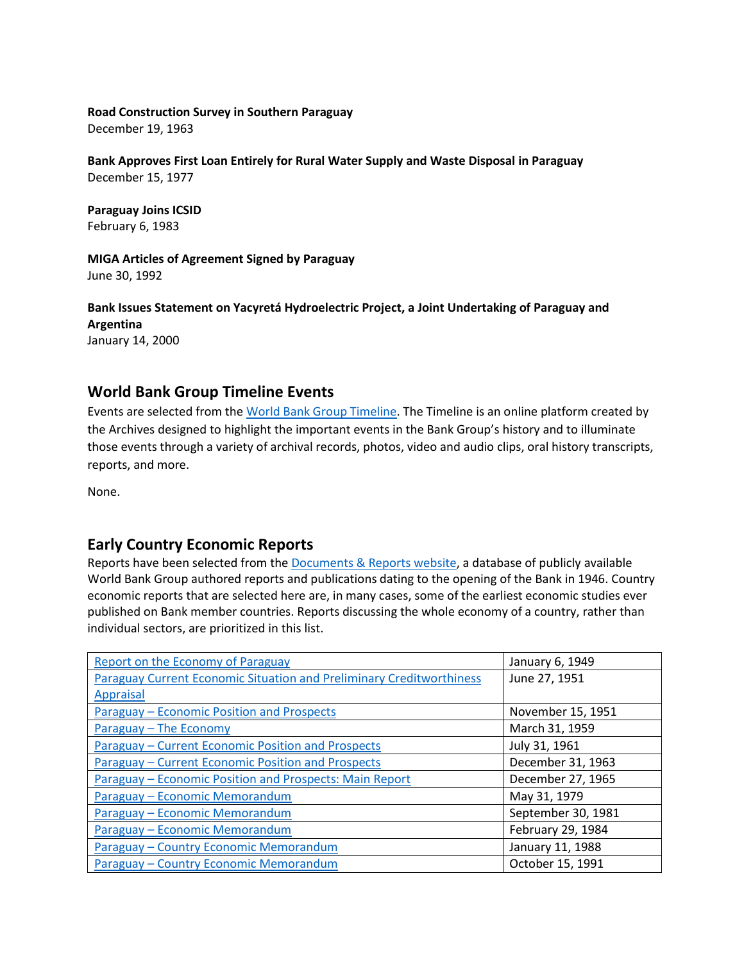## **Road Construction Survey in Southern Paraguay**

December 19, 1963

**Bank Approves First Loan Entirely for Rural Water Supply and Waste Disposal in Paraguay** December 15, 1977

**Paraguay Joins ICSID** February 6, 1983

**MIGA Articles of Agreement Signed by Paraguay** June 30, 1992

**Bank Issues Statement on Yacyretá Hydroelectric Project, a Joint Undertaking of Paraguay and Argentina** 

January 14, 2000

# **World Bank Group Timeline Events**

Events are selected from th[e World Bank Group Timeline.](https://timeline.worldbank.org/#event-bretton-woods-conference-begins) The Timeline is an online platform created by the Archives designed to highlight the important events in the Bank Group's history and to illuminate those events through a variety of archival records, photos, video and audio clips, oral history transcripts, reports, and more.

None.

## **Early Country Economic Reports**

Reports have been selected from the [Documents & Reports website,](https://documents.worldbank.org/) a database of publicly available World Bank Group authored reports and publications dating to the opening of the Bank in 1946. Country economic reports that are selected here are, in many cases, some of the earliest economic studies ever published on Bank member countries. Reports discussing the whole economy of a country, rather than individual sectors, are prioritized in this list.

| <b>Report on the Economy of Paraguay</b>                             | January 6, 1949    |
|----------------------------------------------------------------------|--------------------|
| Paraguay Current Economic Situation and Preliminary Creditworthiness | June 27, 1951      |
| <b>Appraisal</b>                                                     |                    |
| <b>Paraguay - Economic Position and Prospects</b>                    | November 15, 1951  |
| Paraguay - The Economy                                               | March 31, 1959     |
| <b>Paraguay - Current Economic Position and Prospects</b>            | July 31, 1961      |
| <b>Paraguay - Current Economic Position and Prospects</b>            | December 31, 1963  |
| Paraguay – Economic Position and Prospects: Main Report              | December 27, 1965  |
| Paraguay - Economic Memorandum                                       | May 31, 1979       |
| Paraguay - Economic Memorandum                                       | September 30, 1981 |
| Paraguay - Economic Memorandum                                       | February 29, 1984  |
| Paraguay - Country Economic Memorandum                               | January 11, 1988   |
| Paraguay - Country Economic Memorandum                               | October 15, 1991   |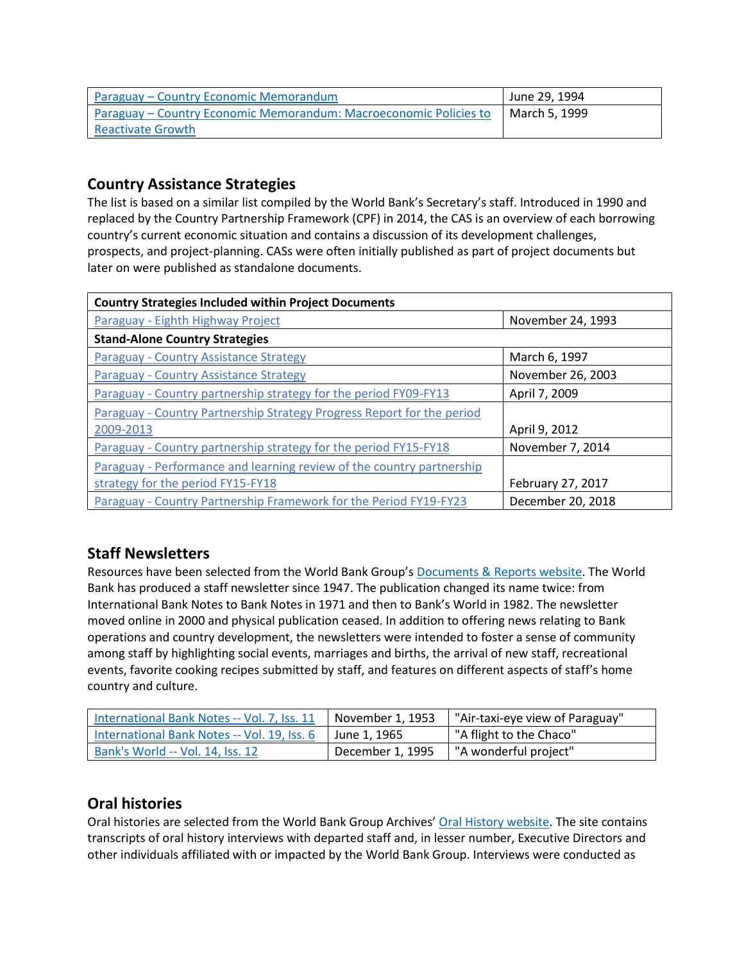| Paraguay – Country Economic Memorandum                            | June 29, 1994 |
|-------------------------------------------------------------------|---------------|
| Paraguay – Country Economic Memorandum: Macroeconomic Policies to | March 5, 1999 |
| <b>Reactivate Growth</b>                                          |               |

# **Country Assistance Strategies**

The list is based on a similar list compiled by the World Bank's Secretary's staff. Introduced in 1990 and replaced by the Country Partnership Framework (CPF) in 2014, the CAS is an overview of each borrowing country's current economic situation and contains a discussion of its development challenges, prospects, and project-planning. CASs were often initially published as part of project documents but later on were published as standalone documents.

| <b>Country Strategies Included within Project Documents</b>            |                   |  |  |
|------------------------------------------------------------------------|-------------------|--|--|
| Paraguay - Eighth Highway Project                                      | November 24, 1993 |  |  |
| <b>Stand-Alone Country Strategies</b>                                  |                   |  |  |
| <b>Paraguay - Country Assistance Strategy</b>                          | March 6, 1997     |  |  |
| Paraguay - Country Assistance Strategy                                 | November 26, 2003 |  |  |
| Paraguay - Country partnership strategy for the period FY09-FY13       | April 7, 2009     |  |  |
| Paraguay - Country Partnership Strategy Progress Report for the period |                   |  |  |
| 2009-2013                                                              | April 9, 2012     |  |  |
| Paraguay - Country partnership strategy for the period FY15-FY18       | November 7, 2014  |  |  |
| Paraguay - Performance and learning review of the country partnership  |                   |  |  |
| strategy for the period FY15-FY18                                      | February 27, 2017 |  |  |
| Paraguay - Country Partnership Framework for the Period FY19-FY23      | December 20, 2018 |  |  |

# **Staff Newsletters**

Resources have been selected from the World Bank Group's [Documents & Reports website.](https://documents.worldbank.org/) The World Bank has produced a staff newsletter since 1947. The publication changed its name twice: from International Bank Notes to Bank Notes in 1971 and then to Bank's World in 1982. The newsletter moved online in 2000 and physical publication ceased. In addition to offering news relating to Bank operations and country development, the newsletters were intended to foster a sense of community among staff by highlighting social events, marriages and births, the arrival of new staff, recreational events, favorite cooking recipes submitted by staff, and features on different aspects of staff's home country and culture.

| International Bank Notes -- Vol. 7, Iss. 11 | November 1, 1953 | "Air-taxi-eye view of Paraguay" |
|---------------------------------------------|------------------|---------------------------------|
| International Bank Notes -- Vol. 19, Iss. 6 | June 1. 1965     | "A flight to the Chaco"         |
| Bank's World -- Vol. 14, Iss. 12            | December 1, 1995 | "A wonderful project"           |

# **Oral histories**

Oral histories are selected from the World Bank Group Archives' [Oral History website.](https://oralhistory.worldbank.org/) The site contains transcripts of oral history interviews with departed staff and, in lesser number, Executive Directors and other individuals affiliated with or impacted by the World Bank Group. Interviews were conducted as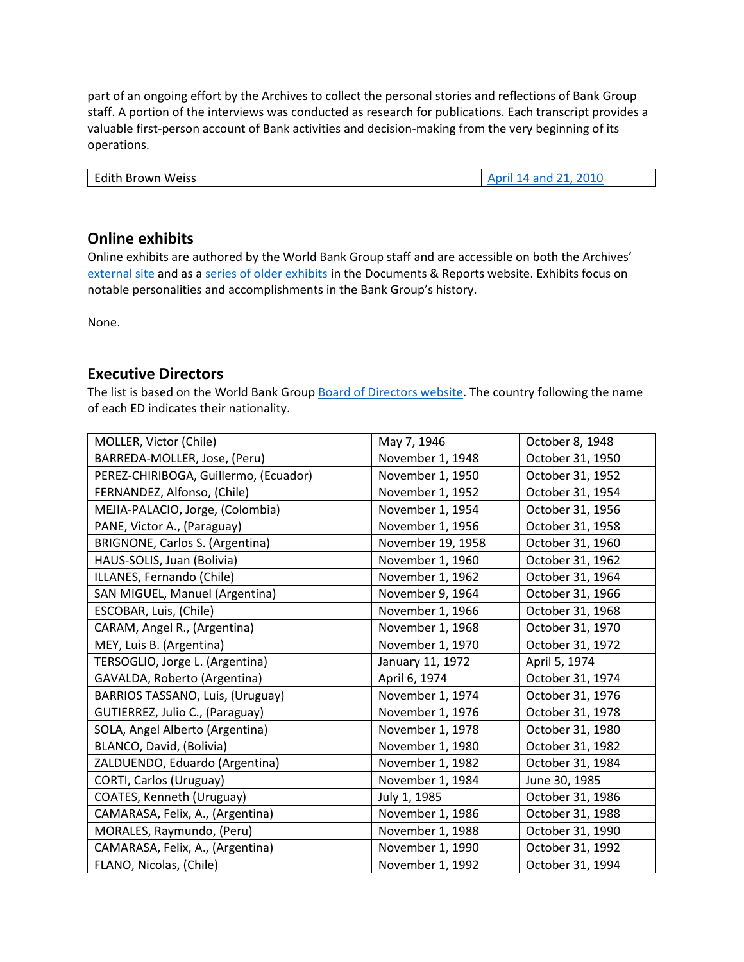part of an ongoing effort by the Archives to collect the personal stories and reflections of Bank Group staff. A portion of the interviews was conducted as research for publications. Each transcript provides a valuable first-person account of Bank activities and decision-making from the very beginning of its operations.

| <b>Edith Brown Weiss</b> | April 14 and 21, 2010 |
|--------------------------|-----------------------|

# **Online exhibits**

Online exhibits are authored by the World Bank Group staff and are accessible on both the Archives' [external site](https://www.worldbank.org/en/about/archives/history/exhibits) and as a [series of older exhibits](https://documents.worldbank.org/en/publication/documents-reports/documentlist?colti=World%20Bank%20Group%20Archives%20exhibit%20series) in the Documents & Reports website. Exhibits focus on notable personalities and accomplishments in the Bank Group's history.

None.

# **Executive Directors**

The list is based on the World Bank Group [Board of Directors website.](https://worldbankgroup.sharepoint.com/sites/wbsites/ExecutiveBoard/Pages/pc/About-the-Boards-05222019-155532/List-of-Executi-05222019-155839.aspx) The country following the name of each ED indicates their nationality.

| MOLLER, Victor (Chile)                | May 7, 1946       | October 8, 1948  |
|---------------------------------------|-------------------|------------------|
| BARREDA-MOLLER, Jose, (Peru)          | November 1, 1948  | October 31, 1950 |
| PEREZ-CHIRIBOGA, Guillermo, (Ecuador) | November 1, 1950  | October 31, 1952 |
| FERNANDEZ, Alfonso, (Chile)           | November 1, 1952  | October 31, 1954 |
| MEJIA-PALACIO, Jorge, (Colombia)      | November 1, 1954  | October 31, 1956 |
| PANE, Victor A., (Paraguay)           | November 1, 1956  | October 31, 1958 |
| BRIGNONE, Carlos S. (Argentina)       | November 19, 1958 | October 31, 1960 |
| HAUS-SOLIS, Juan (Bolivia)            | November 1, 1960  | October 31, 1962 |
| ILLANES, Fernando (Chile)             | November 1, 1962  | October 31, 1964 |
| SAN MIGUEL, Manuel (Argentina)        | November 9, 1964  | October 31, 1966 |
| ESCOBAR, Luis, (Chile)                | November 1, 1966  | October 31, 1968 |
| CARAM, Angel R., (Argentina)          | November 1, 1968  | October 31, 1970 |
| MEY, Luis B. (Argentina)              | November 1, 1970  | October 31, 1972 |
| TERSOGLIO, Jorge L. (Argentina)       | January 11, 1972  | April 5, 1974    |
| GAVALDA, Roberto (Argentina)          | April 6, 1974     | October 31, 1974 |
| BARRIOS TASSANO, Luis, (Uruguay)      | November 1, 1974  | October 31, 1976 |
| GUTIERREZ, Julio C., (Paraguay)       | November 1, 1976  | October 31, 1978 |
| SOLA, Angel Alberto (Argentina)       | November 1, 1978  | October 31, 1980 |
| BLANCO, David, (Bolivia)              | November 1, 1980  | October 31, 1982 |
| ZALDUENDO, Eduardo (Argentina)        | November 1, 1982  | October 31, 1984 |
| CORTI, Carlos (Uruguay)               | November 1, 1984  | June 30, 1985    |
| COATES, Kenneth (Uruguay)             | July 1, 1985      | October 31, 1986 |
| CAMARASA, Felix, A., (Argentina)      | November 1, 1986  | October 31, 1988 |
| MORALES, Raymundo, (Peru)             | November 1, 1988  | October 31, 1990 |
| CAMARASA, Felix, A., (Argentina)      | November 1, 1990  | October 31, 1992 |
| FLANO, Nicolas, (Chile)               | November 1, 1992  | October 31, 1994 |